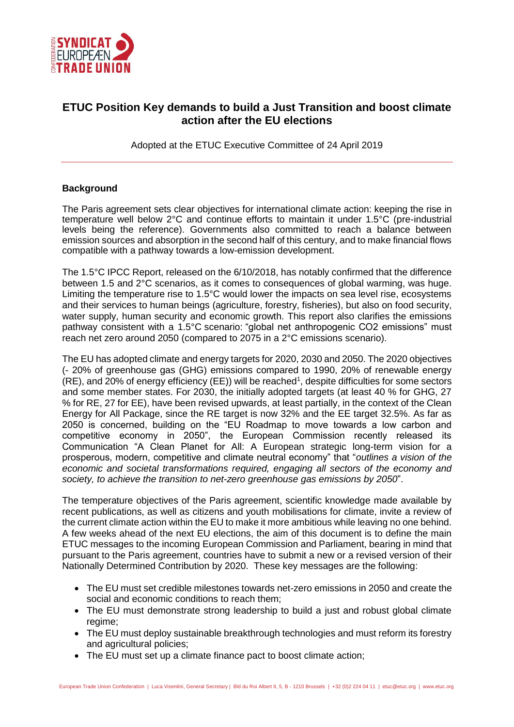

# **ETUC Position Key demands to build a Just Transition and boost climate action after the EU elections**

Adopted at the ETUC Executive Committee of 24 April 2019

## **Background**

The Paris agreement sets clear objectives for international climate action: keeping the rise in temperature well below 2°C and continue efforts to maintain it under 1.5°C (pre-industrial levels being the reference). Governments also committed to reach a balance between emission sources and absorption in the second half of this century, and to make financial flows compatible with a pathway towards a low-emission development.

The 1.5°C IPCC Report, released on the 6/10/2018, has notably confirmed that the difference between 1.5 and 2°C scenarios, as it comes to consequences of global warming, was huge. Limiting the temperature rise to 1.5°C would lower the impacts on sea level rise, ecosystems and their services to human beings (agriculture, forestry, fisheries), but also on food security, water supply, human security and economic growth. This report also clarifies the emissions pathway consistent with a 1.5°C scenario: "global net anthropogenic CO2 emissions" must reach net zero around 2050 (compared to 2075 in a 2°C emissions scenario).

The EU has adopted climate and energy targets for 2020, 2030 and 2050. The 2020 objectives (- 20% of greenhouse gas (GHG) emissions compared to 1990, 20% of renewable energy (RE), and 20% of energy efficiency (EE)) will be reached<sup>1</sup>, despite difficulties for some sectors and some member states. For 2030, the initially adopted targets (at least 40 % for GHG, 27 % for RE, 27 for EE), have been revised upwards, at least partially, in the context of the Clean Energy for All Package, since the RE target is now 32% and the EE target 32.5%. As far as 2050 is concerned, building on the "EU Roadmap to move towards a low carbon and competitive economy in 2050", the European Commission recently released its Communication "A Clean Planet for All: A European strategic long-term vision for a prosperous, modern, competitive and climate neutral economy" that "*outlines a vision of the economic and societal transformations required, engaging all sectors of the economy and society, to achieve the transition to net-zero greenhouse gas emissions by 2050*".

The temperature objectives of the Paris agreement, scientific knowledge made available by recent publications, as well as citizens and youth mobilisations for climate, invite a review of the current climate action within the EU to make it more ambitious while leaving no one behind. A few weeks ahead of the next EU elections, the aim of this document is to define the main ETUC messages to the incoming European Commission and Parliament, bearing in mind that pursuant to the Paris agreement, countries have to submit a new or a revised version of their Nationally Determined Contribution by 2020. These key messages are the following:

- The EU must set credible milestones towards net-zero emissions in 2050 and create the social and economic conditions to reach them;
- The EU must demonstrate strong leadership to build a just and robust global climate regime;
- The EU must deploy sustainable breakthrough technologies and must reform its forestry and agricultural policies;
- The EU must set up a climate finance pact to boost climate action;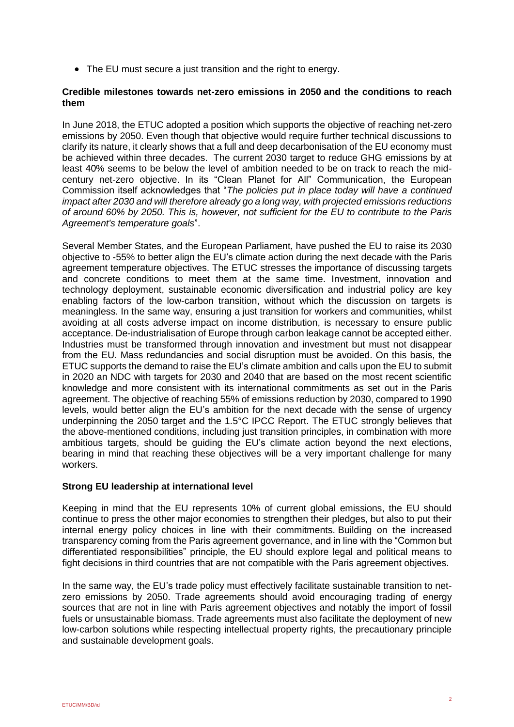• The EU must secure a just transition and the right to energy.

#### **Credible milestones towards net-zero emissions in 2050 and the conditions to reach them**

In June 2018, the ETUC adopted a position which supports the objective of reaching net-zero emissions by 2050. Even though that objective would require further technical discussions to clarify its nature, it clearly shows that a full and deep decarbonisation of the EU economy must be achieved within three decades. The current 2030 target to reduce GHG emissions by at least 40% seems to be below the level of ambition needed to be on track to reach the midcentury net-zero objective. In its "Clean Planet for All" Communication, the European Commission itself acknowledges that "*The policies put in place today will have a continued impact after 2030 and will therefore already go a long way, with projected emissions reductions of around 60% by 2050. This is, however, not sufficient for the EU to contribute to the Paris Agreement's temperature goals*".

Several Member States, and the European Parliament, have pushed the EU to raise its 2030 objective to -55% to better align the EU's climate action during the next decade with the Paris agreement temperature objectives. The ETUC stresses the importance of discussing targets and concrete conditions to meet them at the same time. Investment, innovation and technology deployment, sustainable economic diversification and industrial policy are key enabling factors of the low-carbon transition, without which the discussion on targets is meaningless. In the same way, ensuring a just transition for workers and communities, whilst avoiding at all costs adverse impact on income distribution, is necessary to ensure public acceptance. De-industrialisation of Europe through carbon leakage cannot be accepted either. Industries must be transformed through innovation and investment but must not disappear from the EU. Mass redundancies and social disruption must be avoided. On this basis, the ETUC supports the demand to raise the EU's climate ambition and calls upon the EU to submit in 2020 an NDC with targets for 2030 and 2040 that are based on the most recent scientific knowledge and more consistent with its international commitments as set out in the Paris agreement. The objective of reaching 55% of emissions reduction by 2030, compared to 1990 levels, would better align the EU's ambition for the next decade with the sense of urgency underpinning the 2050 target and the 1.5°C IPCC Report. The ETUC strongly believes that the above-mentioned conditions, including just transition principles, in combination with more ambitious targets, should be guiding the EU's climate action beyond the next elections, bearing in mind that reaching these objectives will be a very important challenge for many workers.

## **Strong EU leadership at international level**

Keeping in mind that the EU represents 10% of current global emissions, the EU should continue to press the other major economies to strengthen their pledges, but also to put their internal energy policy choices in line with their commitments. Building on the increased transparency coming from the Paris agreement governance, and in line with the "Common but differentiated responsibilities" principle, the EU should explore legal and political means to fight decisions in third countries that are not compatible with the Paris agreement objectives.

In the same way, the EU's trade policy must effectively facilitate sustainable transition to netzero emissions by 2050. Trade agreements should avoid encouraging trading of energy sources that are not in line with Paris agreement objectives and notably the import of fossil fuels or unsustainable biomass. Trade agreements must also facilitate the deployment of new low-carbon solutions while respecting intellectual property rights, the precautionary principle and sustainable development goals.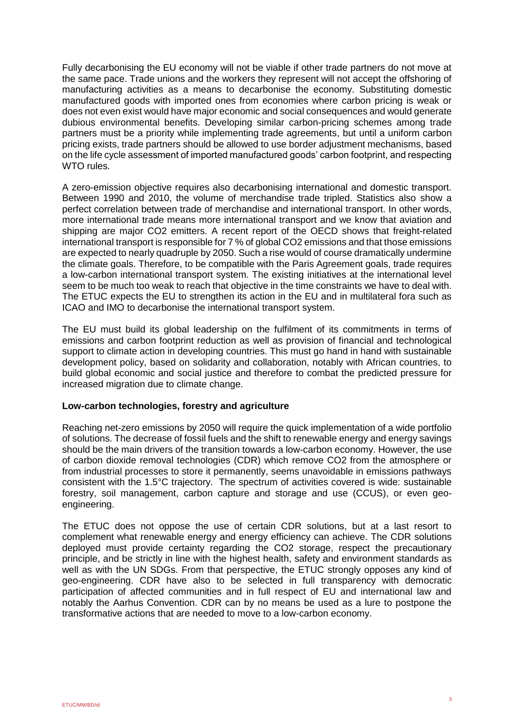Fully decarbonising the EU economy will not be viable if other trade partners do not move at the same pace. Trade unions and the workers they represent will not accept the offshoring of manufacturing activities as a means to decarbonise the economy. Substituting domestic manufactured goods with imported ones from economies where carbon pricing is weak or does not even exist would have major economic and social consequences and would generate dubious environmental benefits. Developing similar carbon-pricing schemes among trade partners must be a priority while implementing trade agreements, but until a uniform carbon pricing exists, trade partners should be allowed to use border adjustment mechanisms, based on the life cycle assessment of imported manufactured goods' carbon footprint, and respecting WTO rules.

A zero-emission objective requires also decarbonising international and domestic transport. Between 1990 and 2010, the volume of merchandise trade tripled. Statistics also show a perfect correlation between trade of merchandise and international transport. In other words, more international trade means more international transport and we know that aviation and shipping are major CO2 emitters. A recent report of the OECD shows that freight-related international transport is responsible for 7 % of global CO2 emissions and that those emissions are expected to nearly quadruple by 2050. Such a rise would of course dramatically undermine the climate goals. Therefore, to be compatible with the Paris Agreement goals, trade requires a low-carbon international transport system. The existing initiatives at the international level seem to be much too weak to reach that objective in the time constraints we have to deal with. The ETUC expects the EU to strengthen its action in the EU and in multilateral fora such as ICAO and IMO to decarbonise the international transport system.

The EU must build its global leadership on the fulfilment of its commitments in terms of emissions and carbon footprint reduction as well as provision of financial and technological support to climate action in developing countries. This must go hand in hand with sustainable development policy, based on solidarity and collaboration, notably with African countries, to build global economic and social justice and therefore to combat the predicted pressure for increased migration due to climate change.

#### **Low-carbon technologies, forestry and agriculture**

Reaching net-zero emissions by 2050 will require the quick implementation of a wide portfolio of solutions. The decrease of fossil fuels and the shift to renewable energy and energy savings should be the main drivers of the transition towards a low-carbon economy. However, the use of carbon dioxide removal technologies (CDR) which remove CO2 from the atmosphere or from industrial processes to store it permanently, seems unavoidable in emissions pathways consistent with the 1.5°C trajectory. The spectrum of activities covered is wide: sustainable forestry, soil management, carbon capture and storage and use (CCUS), or even geoengineering.

The ETUC does not oppose the use of certain CDR solutions, but at a last resort to complement what renewable energy and energy efficiency can achieve. The CDR solutions deployed must provide certainty regarding the CO2 storage, respect the precautionary principle, and be strictly in line with the highest health, safety and environment standards as well as with the UN SDGs. From that perspective, the ETUC strongly opposes any kind of geo-engineering. CDR have also to be selected in full transparency with democratic participation of affected communities and in full respect of EU and international law and notably the Aarhus Convention. CDR can by no means be used as a lure to postpone the transformative actions that are needed to move to a low-carbon economy.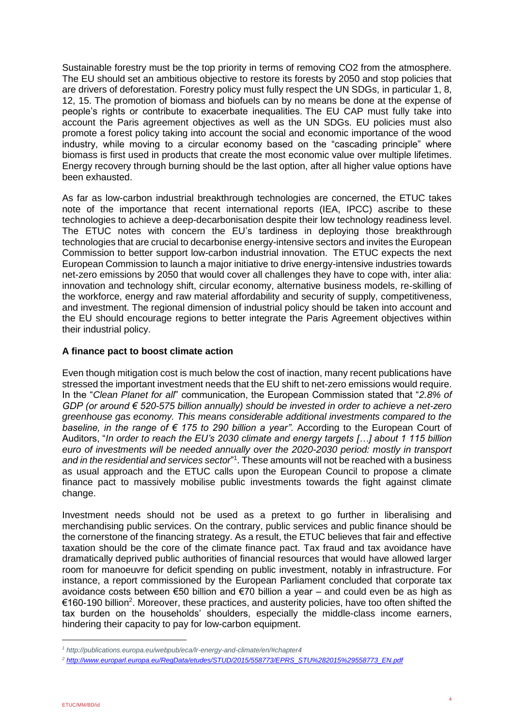Sustainable forestry must be the top priority in terms of removing CO2 from the atmosphere. The EU should set an ambitious objective to restore its forests by 2050 and stop policies that are drivers of deforestation. Forestry policy must fully respect the UN SDGs, in particular 1, 8, 12, 15. The promotion of biomass and biofuels can by no means be done at the expense of people's rights or contribute to exacerbate inequalities. The EU CAP must fully take into account the Paris agreement objectives as well as the UN SDGs. EU policies must also promote a forest policy taking into account the social and economic importance of the wood industry, while moving to a circular economy based on the "cascading principle" where biomass is first used in products that create the most economic value over multiple lifetimes. Energy recovery through burning should be the last option, after all higher value options have been exhausted.

As far as low-carbon industrial breakthrough technologies are concerned, the ETUC takes note of the importance that recent international reports (IEA, IPCC) ascribe to these technologies to achieve a deep-decarbonisation despite their low technology readiness level. The ETUC notes with concern the EU's tardiness in deploying those breakthrough technologies that are crucial to decarbonise energy-intensive sectors and invites the European Commission to better support low-carbon industrial innovation. The ETUC expects the next European Commission to launch a major initiative to drive energy-intensive industries towards net-zero emissions by 2050 that would cover all challenges they have to cope with, inter alia: innovation and technology shift, circular economy, alternative business models, re-skilling of the workforce, energy and raw material affordability and security of supply, competitiveness, and investment. The regional dimension of industrial policy should be taken into account and the EU should encourage regions to better integrate the Paris Agreement objectives within their industrial policy.

## **A finance pact to boost climate action**

Even though mitigation cost is much below the cost of inaction, many recent publications have stressed the important investment needs that the EU shift to net-zero emissions would require. In the "*Clean Planet for all*" communication, the European Commission stated that "*2.8% of GDP (or around € 520-575 billion annually) should be invested in order to achieve a net-zero greenhouse gas economy. This means considerable additional investments compared to the baseline, in the range of € 175 to 290 billion a year"*. According to the European Court of Auditors, "*In order to reach the EU's 2030 climate and energy targets […] about 1 115 billion euro of investments will be needed annually over the 2020-2030 period: mostly in transport and in the residential and services sector*" 1 . These amounts will not be reached with a business as usual approach and the ETUC calls upon the European Council to propose a climate finance pact to massively mobilise public investments towards the fight against climate change.

Investment needs should not be used as a pretext to go further in liberalising and merchandising public services. On the contrary, public services and public finance should be the cornerstone of the financing strategy. As a result, the ETUC believes that fair and effective taxation should be the core of the climate finance pact. Tax fraud and tax avoidance have dramatically deprived public authorities of financial resources that would have allowed larger room for manoeuvre for deficit spending on public investment, notably in infrastructure. For instance, a report commissioned by the European Parliament concluded that corporate tax avoidance costs between  $\epsilon$ 50 billion and  $\epsilon$ 70 billion a year – and could even be as high as €160-190 billion<sup>2</sup>. Moreover, these practices, and austerity policies, have too often shifted the tax burden on the households' shoulders, especially the middle-class income earners, hindering their capacity to pay for low-carbon equipment.

-

*<sup>1</sup> http://publications.europa.eu/webpub/eca/lr-energy-and-climate/en/#chapter4*

*<sup>2</sup> [http://www.europarl.europa.eu/RegData/etudes/STUD/2015/558773/EPRS\\_STU%282015%29558773\\_EN.pdf](http://www.europarl.europa.eu/RegData/etudes/STUD/2015/558773/EPRS_STU%282015%29558773_EN.pdf)*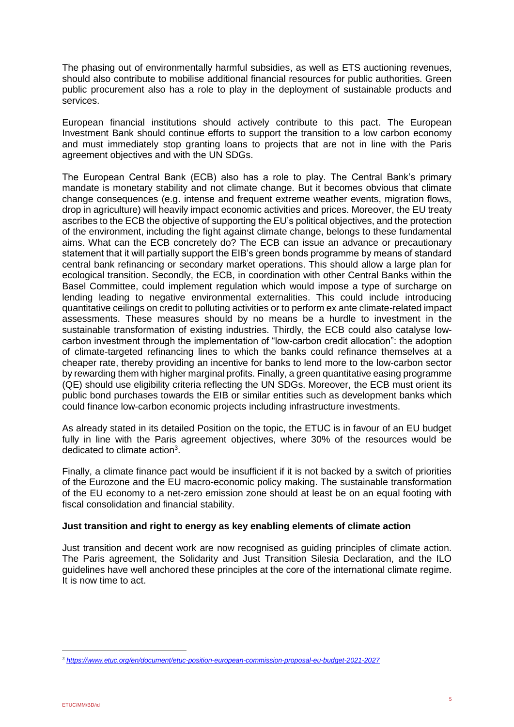The phasing out of environmentally harmful subsidies, as well as ETS auctioning revenues, should also contribute to mobilise additional financial resources for public authorities. Green public procurement also has a role to play in the deployment of sustainable products and services.

European financial institutions should actively contribute to this pact. The European Investment Bank should continue efforts to support the transition to a low carbon economy and must immediately stop granting loans to projects that are not in line with the Paris agreement objectives and with the UN SDGs.

The European Central Bank (ECB) also has a role to play. The Central Bank's primary mandate is monetary stability and not climate change. But it becomes obvious that climate change consequences (e.g. intense and frequent extreme weather events, migration flows, drop in agriculture) will heavily impact economic activities and prices. Moreover, the EU treaty ascribes to the ECB the objective of supporting the EU's political objectives, and the protection of the environment, including the fight against climate change, belongs to these fundamental aims. What can the ECB concretely do? The ECB can issue an advance or precautionary statement that it will partially support the EIB's green bonds programme by means of standard central bank refinancing or secondary market operations. This should allow a large plan for ecological transition. Secondly, the ECB, in coordination with other Central Banks within the Basel Committee, could implement regulation which would impose a type of surcharge on lending leading to negative environmental externalities. This could include introducing quantitative ceilings on credit to polluting activities or to perform ex ante climate-related impact assessments. These measures should by no means be a hurdle to investment in the sustainable transformation of existing industries. Thirdly, the ECB could also catalyse lowcarbon investment through the implementation of "low-carbon credit allocation": the adoption of climate-targeted refinancing lines to which the banks could refinance themselves at a cheaper rate, thereby providing an incentive for banks to lend more to the low-carbon sector by rewarding them with higher marginal profits. Finally, a green quantitative easing programme (QE) should use eligibility criteria reflecting the UN SDGs. Moreover, the ECB must orient its public bond purchases towards the EIB or similar entities such as development banks which could finance low-carbon economic projects including infrastructure investments.

As already stated in its detailed Position on the topic, the ETUC is in favour of an EU budget fully in line with the Paris agreement objectives, where 30% of the resources would be dedicated to climate action<sup>3</sup>.

Finally, a climate finance pact would be insufficient if it is not backed by a switch of priorities of the Eurozone and the EU macro-economic policy making. The sustainable transformation of the EU economy to a net-zero emission zone should at least be on an equal footing with fiscal consolidation and financial stability.

## **Just transition and right to energy as key enabling elements of climate action**

Just transition and decent work are now recognised as guiding principles of climate action. The Paris agreement, the Solidarity and Just Transition Silesia Declaration, and the ILO guidelines have well anchored these principles at the core of the international climate regime. It is now time to act.

-

*<sup>3</sup> <https://www.etuc.org/en/document/etuc-position-european-commission-proposal-eu-budget-2021-2027>*